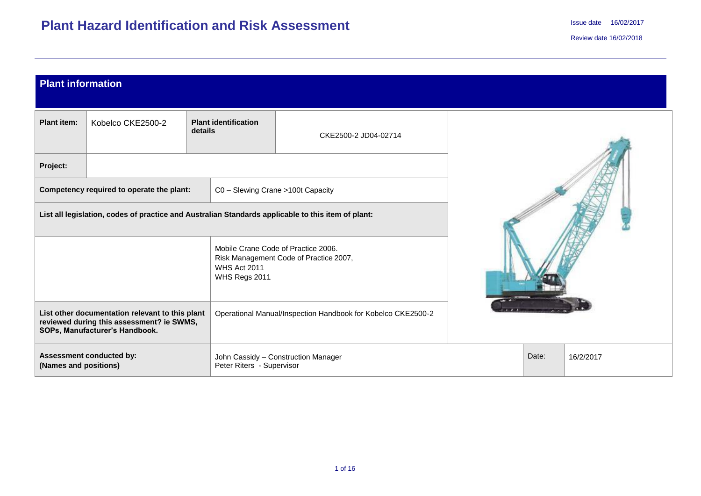| <b>Plant information</b>                                                                                                                                                                       |                                                                                                                              |                                        |                                                                               |  |       |           |
|------------------------------------------------------------------------------------------------------------------------------------------------------------------------------------------------|------------------------------------------------------------------------------------------------------------------------------|----------------------------------------|-------------------------------------------------------------------------------|--|-------|-----------|
| <b>Plant item:</b>                                                                                                                                                                             | Kobelco CKE2500-2                                                                                                            | <b>Plant identification</b><br>details | CKE2500-2 JD04-02714                                                          |  |       |           |
| Project:                                                                                                                                                                                       |                                                                                                                              |                                        |                                                                               |  |       |           |
|                                                                                                                                                                                                | Competency required to operate the plant:                                                                                    | C0 - Slewing Crane >100t Capacity      |                                                                               |  |       |           |
|                                                                                                                                                                                                | List all legislation, codes of practice and Australian Standards applicable to this item of plant:                           |                                        |                                                                               |  |       |           |
|                                                                                                                                                                                                |                                                                                                                              | WHS Act 2011<br>WHS Regs 2011          | Mobile Crane Code of Practice 2006.<br>Risk Management Code of Practice 2007, |  |       |           |
| List other documentation relevant to this plant<br>Operational Manual/Inspection Handbook for Kobelco CKE2500-2<br>reviewed during this assessment? ie SWMS,<br>SOPs, Manufacturer's Handbook. |                                                                                                                              |                                        |                                                                               |  |       |           |
|                                                                                                                                                                                                | <b>Assessment conducted by:</b><br>John Cassidy - Construction Manager<br>(Names and positions)<br>Peter Riters - Supervisor |                                        |                                                                               |  | Date: | 16/2/2017 |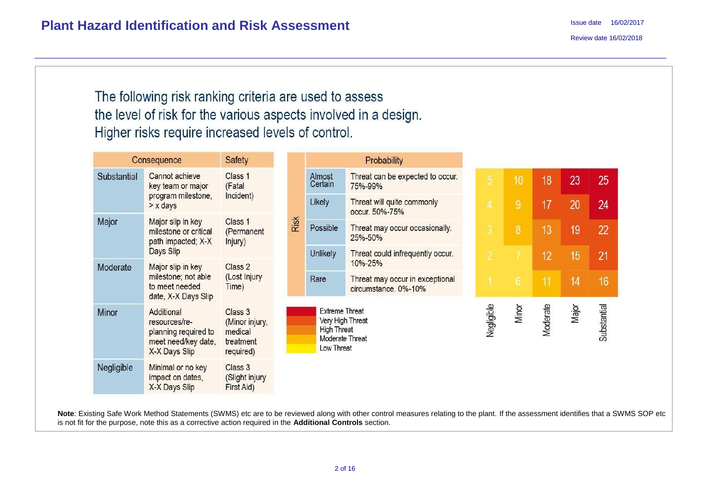The following risk ranking criteria are used to assess the level of risk for the various aspects involved in a design. Higher risks require increased levels of control.

|             | Consequence                                                                                 | Safety                                                         |      |                                                                                                  | Probability                                                        |                |                 |          |       |             |
|-------------|---------------------------------------------------------------------------------------------|----------------------------------------------------------------|------|--------------------------------------------------------------------------------------------------|--------------------------------------------------------------------|----------------|-----------------|----------|-------|-------------|
| Substantial | Cannot achieve<br>key team or major                                                         | Class 1<br>Almost<br>Certain<br>(Fatal<br>Incident)            |      |                                                                                                  | Threat can be expected to occur.<br>75%-99%                        | $\overline{5}$ | 10              | 18       | 23    | 25          |
|             | program milestone,<br>$> x$ days                                                            |                                                                |      | Likely                                                                                           | Threat will quite commonly<br>occur. 50%-75%                       | $\overline{4}$ | 9               | 17       | 20    | 24          |
| Major       | Major slip in key<br>milestone or critical<br>path impacted; X-X                            | Class 1<br>(Permanent<br>Injury)                               | Risk | Possible                                                                                         | Threat may occur occasionally.<br>25%-50%                          | 3              | 8               | 13       | 19    | 22          |
|             | Days Slip                                                                                   |                                                                |      | Unlikely                                                                                         | Threat could infrequently occur.                                   | $\overline{2}$ |                 | 12       | 15    | 21          |
| Moderate    | Major slip in key<br>milestone; not able<br>to meet needed<br>date, X-X Days Slip           | Class 2<br>(Lost Injury<br>Time)                               |      | Rare                                                                                             | 10%-25%<br>Threat may occur in exceptional<br>circumstance. 0%-10% |                | $6\phantom{.}6$ | 11       | 14    | 16          |
| Minor       | Additional<br>resources/re-<br>planning required to<br>meet need/key date,<br>X-X Days Slip | Class 3<br>(Minor injury,<br>medical<br>treatment<br>required) |      | <b>Extreme Threat</b><br>Very High Threat<br><b>High Threat</b><br>Moderate Threat<br>Low Threat |                                                                    | Negligible     | Minor           | Moderate | Major | Substantial |
| Negligible  | Minimal or no key<br>impact on dates,<br>X-X Days Slip                                      | Class 3<br>(Slight injury<br>First Aid)                        |      |                                                                                                  |                                                                    |                |                 |          |       |             |

Note: Existing Safe Work Method Statements (SWMS) etc are to be reviewed along with other control measures relating to the plant. If the assessment identifies that a SWMS SOP etc is not fit for the purpose, note this as a corrective action required in the **Additional Controls** section.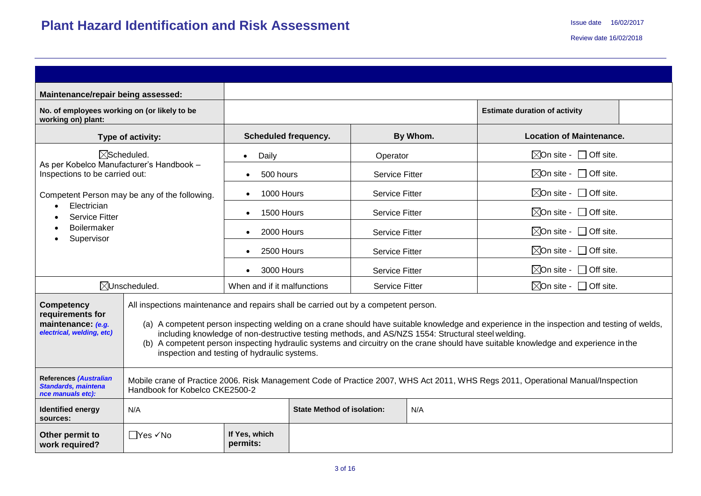| Maintenance/repair being assessed:                                                       |                                                                                                                                                                    |                                          |  |                       |                                                                                                    |                                                                                                                                                                                                                                                                                   |  |  |  |
|------------------------------------------------------------------------------------------|--------------------------------------------------------------------------------------------------------------------------------------------------------------------|------------------------------------------|--|-----------------------|----------------------------------------------------------------------------------------------------|-----------------------------------------------------------------------------------------------------------------------------------------------------------------------------------------------------------------------------------------------------------------------------------|--|--|--|
| No. of employees working on (or likely to be<br>working on) plant:                       |                                                                                                                                                                    |                                          |  |                       |                                                                                                    | <b>Estimate duration of activity</b>                                                                                                                                                                                                                                              |  |  |  |
|                                                                                          | Type of activity:                                                                                                                                                  | <b>Scheduled frequency.</b>              |  |                       | By Whom.                                                                                           | <b>Location of Maintenance.</b>                                                                                                                                                                                                                                                   |  |  |  |
|                                                                                          | $\boxtimes$ Scheduled.                                                                                                                                             | Daily<br>$\bullet$                       |  | Operator              |                                                                                                    | $\boxtimes$ On site - $\Box$ Off site.                                                                                                                                                                                                                                            |  |  |  |
| As per Kobelco Manufacturer's Handbook -<br>Inspections to be carried out:               |                                                                                                                                                                    | 500 hours<br>$\bullet$                   |  | <b>Service Fitter</b> |                                                                                                    | $\boxtimes$ On site - $\Box$ Off site.                                                                                                                                                                                                                                            |  |  |  |
|                                                                                          | Competent Person may be any of the following.                                                                                                                      | 1000 Hours<br>$\bullet$                  |  | <b>Service Fitter</b> |                                                                                                    | $\boxtimes$ On site - $\Box$ Off site.                                                                                                                                                                                                                                            |  |  |  |
| Electrician<br><b>Service Fitter</b>                                                     |                                                                                                                                                                    | 1500 Hours<br>$\bullet$                  |  | <b>Service Fitter</b> |                                                                                                    | $\boxtimes$ On site - $\Box$ Off site.                                                                                                                                                                                                                                            |  |  |  |
| <b>Boilermaker</b>                                                                       |                                                                                                                                                                    | 2000 Hours<br>$\bullet$                  |  | <b>Service Fitter</b> |                                                                                                    | $\boxtimes$ On site - $\Box$ Off site.                                                                                                                                                                                                                                            |  |  |  |
| Supervisor                                                                               |                                                                                                                                                                    | 2500 Hours                               |  | <b>Service Fitter</b> |                                                                                                    | $\boxtimes$ On site - $\Box$ Off site.                                                                                                                                                                                                                                            |  |  |  |
|                                                                                          |                                                                                                                                                                    | 3000 Hours<br>$\bullet$                  |  | <b>Service Fitter</b> |                                                                                                    | $\boxtimes$ On site - $\Box$ Off site.                                                                                                                                                                                                                                            |  |  |  |
|                                                                                          | $\boxtimes$ Unscheduled.                                                                                                                                           | When and if it malfunctions              |  | <b>Service Fitter</b> |                                                                                                    | $\boxtimes$ On site - $\Box$ Off site.                                                                                                                                                                                                                                            |  |  |  |
| <b>Competency</b><br>requirements for<br>maintenance: (e.g.<br>electrical, welding, etc) | All inspections maintenance and repairs shall be carried out by a competent person.<br>inspection and testing of hydraulic systems.                                |                                          |  |                       | including knowledge of non-destructive testing methods, and AS/NZS 1554: Structural steel welding. | (a) A competent person inspecting welding on a crane should have suitable knowledge and experience in the inspection and testing of welds,<br>(b) A competent person inspecting hydraulic systems and circuitry on the crane should have suitable knowledge and experience in the |  |  |  |
| <b>References (Australian</b><br><b>Standards, maintena</b><br>nce manuals etc):         | Mobile crane of Practice 2006. Risk Management Code of Practice 2007, WHS Act 2011, WHS Regs 2011, Operational Manual/Inspection<br>Handbook for Kobelco CKE2500-2 |                                          |  |                       |                                                                                                    |                                                                                                                                                                                                                                                                                   |  |  |  |
| <b>Identified energy</b><br>sources:                                                     | N/A                                                                                                                                                                | <b>State Method of isolation:</b><br>N/A |  |                       |                                                                                                    |                                                                                                                                                                                                                                                                                   |  |  |  |
| Other permit to<br>work required?                                                        | TYes √No                                                                                                                                                           | If Yes, which<br>permits:                |  |                       |                                                                                                    |                                                                                                                                                                                                                                                                                   |  |  |  |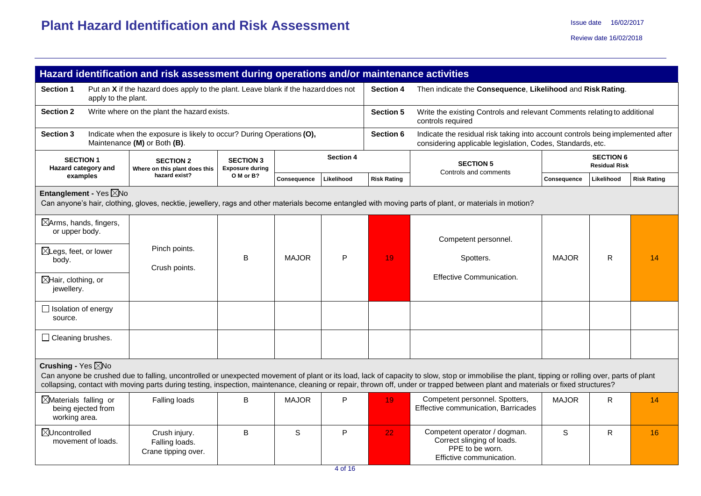|                                                                                                  | Hazard identification and risk assessment during operations and/or maintenance activities             |                                            |              |                  |                    |                                                                                                                                                                                                                                                                                                                                                                                     |              |                                          |                    |
|--------------------------------------------------------------------------------------------------|-------------------------------------------------------------------------------------------------------|--------------------------------------------|--------------|------------------|--------------------|-------------------------------------------------------------------------------------------------------------------------------------------------------------------------------------------------------------------------------------------------------------------------------------------------------------------------------------------------------------------------------------|--------------|------------------------------------------|--------------------|
| <b>Section 1</b><br>apply to the plant.                                                          | Put an X if the hazard does apply to the plant. Leave blank if the hazard does not                    |                                            |              |                  | <b>Section 4</b>   | Then indicate the Consequence, Likelihood and Risk Rating.                                                                                                                                                                                                                                                                                                                          |              |                                          |                    |
| <b>Section 2</b>                                                                                 | Write where on the plant the hazard exists.                                                           |                                            |              |                  | <b>Section 5</b>   | Write the existing Controls and relevant Comments relating to additional<br>controls required                                                                                                                                                                                                                                                                                       |              |                                          |                    |
| <b>Section 3</b>                                                                                 | Indicate when the exposure is likely to occur? During Operations (O),<br>Maintenance (M) or Both (B). |                                            |              |                  | Section 6          | Indicate the residual risk taking into account controls being implemented after<br>considering applicable legislation, Codes, Standards, etc.                                                                                                                                                                                                                                       |              |                                          |                    |
| <b>SECTION 1</b><br>Hazard category and                                                          | <b>SECTION 2</b><br>Where on this plant does this                                                     | <b>SECTION 3</b><br><b>Exposure during</b> |              | <b>Section 4</b> |                    | <b>SECTION 5</b><br>Controls and comments                                                                                                                                                                                                                                                                                                                                           |              | <b>SECTION 6</b><br><b>Residual Risk</b> |                    |
| examples                                                                                         | hazard exist?                                                                                         | O M or B?                                  | Consequence  | Likelihood       | <b>Risk Rating</b> |                                                                                                                                                                                                                                                                                                                                                                                     | Consequence  | Likelihood                               | <b>Risk Rating</b> |
| Entanglement - Yes ⊠No                                                                           |                                                                                                       |                                            |              |                  |                    | Can anyone's hair, clothing, gloves, necktie, jewellery, rags and other materials become entangled with moving parts of plant, or materials in motion?                                                                                                                                                                                                                              |              |                                          |                    |
| $\boxtimes$ Arms, hands, fingers,<br>or upper body.<br>$\boxtimes$ Legs, feet, or lower<br>body. | Pinch points.<br>Crush points.                                                                        | B                                          | <b>MAJOR</b> | P                | 19                 | Competent personnel.<br>Spotters.                                                                                                                                                                                                                                                                                                                                                   | <b>MAJOR</b> | R.                                       | 14                 |
| $\boxtimes$ Hair, clothing, or<br>jewellery.                                                     |                                                                                                       |                                            |              |                  |                    | Effective Communication.                                                                                                                                                                                                                                                                                                                                                            |              |                                          |                    |
| $\Box$ Isolation of energy<br>source.                                                            |                                                                                                       |                                            |              |                  |                    |                                                                                                                                                                                                                                                                                                                                                                                     |              |                                          |                    |
| $\Box$ Cleaning brushes.                                                                         |                                                                                                       |                                            |              |                  |                    |                                                                                                                                                                                                                                                                                                                                                                                     |              |                                          |                    |
| Crushing - Yes $\boxtimes$ No                                                                    |                                                                                                       |                                            |              |                  |                    | Can anyone be crushed due to falling, uncontrolled or unexpected movement of plant or its load, lack of capacity to slow, stop or immobilise the plant, tipping or rolling over, parts of plant<br>collapsing, contact with moving parts during testing, inspection, maintenance, cleaning or repair, thrown off, under or trapped between plant and materials or fixed structures? |              |                                          |                    |
| $\boxtimes$ Materials falling or<br>being ejected from<br>working area.                          | Falling loads                                                                                         | B                                          | <b>MAJOR</b> | P                | 19                 | Competent personnel. Spotters,<br>Effective communication, Barricades                                                                                                                                                                                                                                                                                                               | <b>MAJOR</b> | R.                                       | 14                 |
| ⊠Uncontrolled<br>movement of loads.                                                              | Crush injury.<br>Falling loads.<br>Crane tipping over.                                                | B                                          | S            | P                | 22                 | Competent operator / dogman.<br>Correct slinging of loads.<br>PPE to be worn.<br>Effictive communication.                                                                                                                                                                                                                                                                           | S            | R.                                       | 16                 |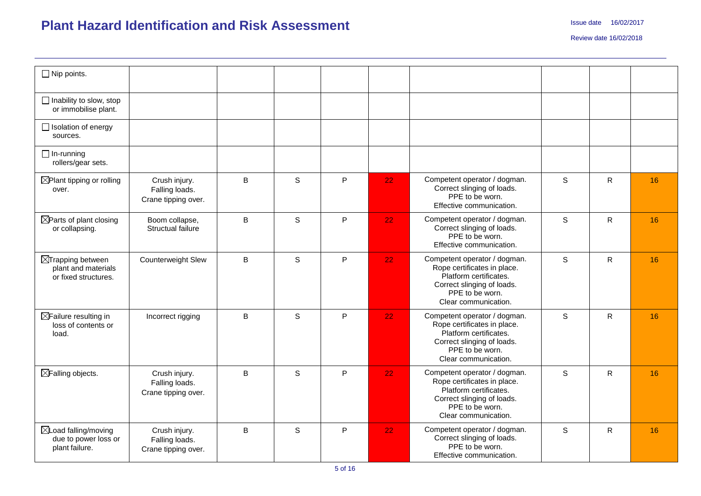| $\Box$ Nip points.                                                          |                                                        |                |              |   |    |                                                                                                                                                                |              |              |    |
|-----------------------------------------------------------------------------|--------------------------------------------------------|----------------|--------------|---|----|----------------------------------------------------------------------------------------------------------------------------------------------------------------|--------------|--------------|----|
| $\Box$ Inability to slow, stop<br>or immobilise plant.                      |                                                        |                |              |   |    |                                                                                                                                                                |              |              |    |
| $\Box$ Isolation of energy<br>sources.                                      |                                                        |                |              |   |    |                                                                                                                                                                |              |              |    |
| $\Box$ In-running<br>rollers/gear sets.                                     |                                                        |                |              |   |    |                                                                                                                                                                |              |              |    |
| $\boxtimes$ Plant tipping or rolling<br>over.                               | Crush injury.<br>Falling loads.<br>Crane tipping over. | B              | S            | P | 22 | Competent operator / dogman.<br>Correct slinging of loads.<br>PPE to be worn.<br>Effective communication.                                                      | $\mathsf{s}$ | $\mathsf{R}$ | 16 |
| $\boxtimes$ Parts of plant closing<br>or collapsing.                        | Boom collapse,<br>Structual failure                    | B              | S            | P | 22 | Competent operator / dogman.<br>Correct slinging of loads.<br>PPE to be worn.<br>Effective communication.                                                      | S            | R            | 16 |
| $\boxtimes$ Trapping between<br>plant and materials<br>or fixed structures. | Counterweight Slew                                     | $\overline{B}$ | S            | P | 22 | Competent operator / dogman.<br>Rope certificates in place.<br>Platform certificates.<br>Correct slinging of loads.<br>PPE to be worn.<br>Clear communication. | S            | $\mathsf{R}$ | 16 |
| $\boxtimes$ Failure resulting in<br>loss of contents or<br>load.            | Incorrect rigging                                      | $\sf B$        | S            | P | 22 | Competent operator / dogman.<br>Rope certificates in place.<br>Platform certificates.<br>Correct slinging of loads.<br>PPE to be worn.<br>Clear communication. | S            | $\mathsf{R}$ | 16 |
| ⊠Falling objects.                                                           | Crush injury.<br>Falling loads.<br>Crane tipping over. | B              | <sub>S</sub> | P | 22 | Competent operator / dogman.<br>Rope certificates in place.<br>Platform certificates.<br>Correct slinging of loads.<br>PPE to be worn.<br>Clear communication. | S            | R.           | 16 |
| $\boxtimes$ Load falling/moving<br>due to power loss or<br>plant failure.   | Crush injury.<br>Falling loads.<br>Crane tipping over. | B              | S            | P | 22 | Competent operator / dogman.<br>Correct slinging of loads.<br>PPE to be worn.<br>Effective communication.                                                      | S            | $\mathsf{R}$ | 16 |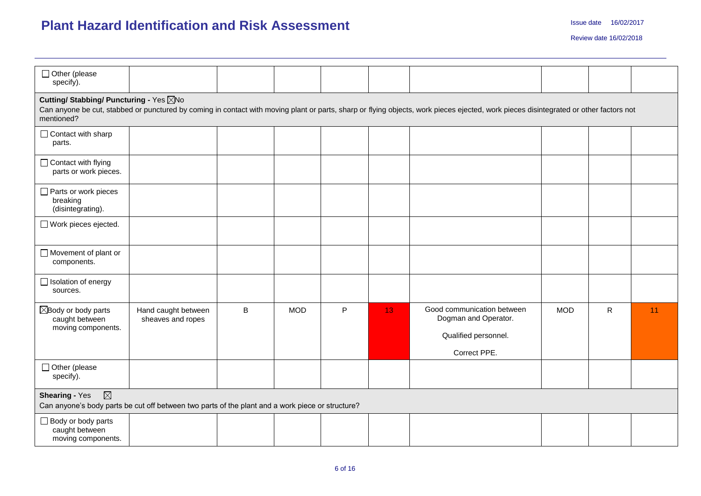| □ Other (please<br>specify).                                                                                                                                                                                                                   |                                          |          |            |    |                 |                                                                                            |            |              |    |  |  |  |
|------------------------------------------------------------------------------------------------------------------------------------------------------------------------------------------------------------------------------------------------|------------------------------------------|----------|------------|----|-----------------|--------------------------------------------------------------------------------------------|------------|--------------|----|--|--|--|
| Cutting/ Stabbing/ Puncturing - Yes ⊠No<br>Can anyone be cut, stabbed or punctured by coming in contact with moving plant or parts, sharp or flying objects, work pieces ejected, work pieces disintegrated or other factors not<br>mentioned? |                                          |          |            |    |                 |                                                                                            |            |              |    |  |  |  |
| □ Contact with sharp<br>parts.                                                                                                                                                                                                                 |                                          |          |            |    |                 |                                                                                            |            |              |    |  |  |  |
| $\Box$ Contact with flying<br>parts or work pieces.                                                                                                                                                                                            |                                          |          |            |    |                 |                                                                                            |            |              |    |  |  |  |
| Parts or work pieces<br>breaking<br>(disintegrating).                                                                                                                                                                                          |                                          |          |            |    |                 |                                                                                            |            |              |    |  |  |  |
| □ Work pieces ejected.                                                                                                                                                                                                                         |                                          |          |            |    |                 |                                                                                            |            |              |    |  |  |  |
| $\Box$ Movement of plant or<br>components.                                                                                                                                                                                                     |                                          |          |            |    |                 |                                                                                            |            |              |    |  |  |  |
| $\Box$ Isolation of energy<br>sources.                                                                                                                                                                                                         |                                          |          |            |    |                 |                                                                                            |            |              |    |  |  |  |
| $\boxtimes$ Body or body parts<br>caught between<br>moving components.                                                                                                                                                                         | Hand caught between<br>sheaves and ropes | $\sf{B}$ | <b>MOD</b> | P. | 13 <sup>°</sup> | Good communication between<br>Dogman and Operator.<br>Qualified personnel.<br>Correct PPE. | <b>MOD</b> | $\mathsf{R}$ | 11 |  |  |  |
| □ Other (please<br>specify).                                                                                                                                                                                                                   |                                          |          |            |    |                 |                                                                                            |            |              |    |  |  |  |
| $\boxtimes$<br><b>Shearing - Yes</b><br>Can anyone's body parts be cut off between two parts of the plant and a work piece or structure?                                                                                                       |                                          |          |            |    |                 |                                                                                            |            |              |    |  |  |  |
| Body or body parts<br>caught between<br>moving components.                                                                                                                                                                                     |                                          |          |            |    |                 |                                                                                            |            |              |    |  |  |  |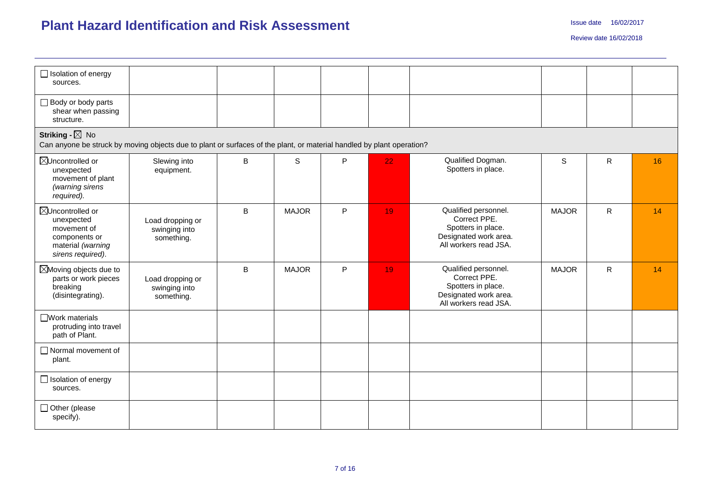| $\Box$ Isolation of energy<br>sources.                                                                                                             |                                                 |              |              |   |    |                                                                                                              |              |              |    |  |  |  |  |
|----------------------------------------------------------------------------------------------------------------------------------------------------|-------------------------------------------------|--------------|--------------|---|----|--------------------------------------------------------------------------------------------------------------|--------------|--------------|----|--|--|--|--|
| $\Box$ Body or body parts<br>shear when passing<br>structure.                                                                                      |                                                 |              |              |   |    |                                                                                                              |              |              |    |  |  |  |  |
| Striking - $\boxtimes$ No<br>Can anyone be struck by moving objects due to plant or surfaces of the plant, or material handled by plant operation? |                                                 |              |              |   |    |                                                                                                              |              |              |    |  |  |  |  |
| ⊠Uncontrolled or<br>unexpected<br>movement of plant<br>(warning sirens<br>required).                                                               | Slewing into<br>equipment.                      | $\, {\bf B}$ | $\mathbb S$  | P | 22 | Qualified Dogman.<br>Spotters in place.                                                                      | S            | R            | 16 |  |  |  |  |
| ⊠Uncontrolled or<br>unexpected<br>movement of<br>components or<br>material (warning<br>sirens required).                                           | Load dropping or<br>swinging into<br>something. | B            | <b>MAJOR</b> | P | 19 | Qualified personnel.<br>Correct PPE.<br>Spotters in place.<br>Designated work area.<br>All workers read JSA. | <b>MAJOR</b> | $\mathsf{R}$ | 14 |  |  |  |  |
| ⊠Moving objects due to<br>parts or work pieces<br>breaking<br>(disintegrating).                                                                    | Load dropping or<br>swinging into<br>something. | B            | <b>MAJOR</b> | P | 19 | Qualified personnel.<br>Correct PPE.<br>Spotters in place.<br>Designated work area.<br>All workers read JSA. | <b>MAJOR</b> | $\mathsf{R}$ | 14 |  |  |  |  |
| □ Work materials<br>protruding into travel<br>path of Plant.                                                                                       |                                                 |              |              |   |    |                                                                                                              |              |              |    |  |  |  |  |
| Normal movement of<br>plant.                                                                                                                       |                                                 |              |              |   |    |                                                                                                              |              |              |    |  |  |  |  |
| $\Box$ Isolation of energy<br>sources.                                                                                                             |                                                 |              |              |   |    |                                                                                                              |              |              |    |  |  |  |  |
| □ Other (please<br>specify).                                                                                                                       |                                                 |              |              |   |    |                                                                                                              |              |              |    |  |  |  |  |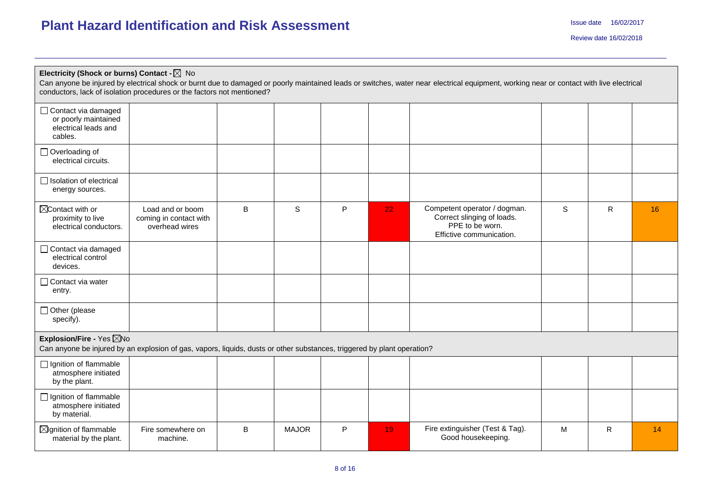| Electricity (Shock or burns) Contact - $\boxtimes$ No<br>conductors, lack of isolation procedures or the factors not mentioned?                     |                                                              |   |              |   |    | Can anyone be injured by electrical shock or burnt due to damaged or poorly maintained leads or switches, water near electrical equipment, working near or contact with live electrical |   |    |    |
|-----------------------------------------------------------------------------------------------------------------------------------------------------|--------------------------------------------------------------|---|--------------|---|----|-----------------------------------------------------------------------------------------------------------------------------------------------------------------------------------------|---|----|----|
| □ Contact via damaged<br>or poorly maintained<br>electrical leads and<br>cables.                                                                    |                                                              |   |              |   |    |                                                                                                                                                                                         |   |    |    |
| □ Overloading of<br>electrical circuits.                                                                                                            |                                                              |   |              |   |    |                                                                                                                                                                                         |   |    |    |
| □ Isolation of electrical<br>energy sources.                                                                                                        |                                                              |   |              |   |    |                                                                                                                                                                                         |   |    |    |
| $\boxtimes$ Contact with or<br>proximity to live<br>electrical conductors.                                                                          | Load and or boom<br>coming in contact with<br>overhead wires | B | S            | P | 22 | Competent operator / dogman.<br>Correct slinging of loads.<br>PPE to be worn.<br>Effictive communication.                                                                               | S | R. | 16 |
| Contact via damaged<br>electrical control<br>devices.                                                                                               |                                                              |   |              |   |    |                                                                                                                                                                                         |   |    |    |
| $\Box$ Contact via water<br>entry.                                                                                                                  |                                                              |   |              |   |    |                                                                                                                                                                                         |   |    |    |
| $\Box$ Other (please<br>specify).                                                                                                                   |                                                              |   |              |   |    |                                                                                                                                                                                         |   |    |    |
| Explosion/Fire - Yes ⊠No<br>Can anyone be injured by an explosion of gas, vapors, liquids, dusts or other substances, triggered by plant operation? |                                                              |   |              |   |    |                                                                                                                                                                                         |   |    |    |
| □ Ignition of flammable<br>atmosphere initiated<br>by the plant.                                                                                    |                                                              |   |              |   |    |                                                                                                                                                                                         |   |    |    |
| $\Box$ Ignition of flammable<br>atmosphere initiated<br>by material.                                                                                |                                                              |   |              |   |    |                                                                                                                                                                                         |   |    |    |
| $\boxtimes$ Ignition of flammable<br>material by the plant.                                                                                         | Fire somewhere on<br>machine.                                | B | <b>MAJOR</b> | P | 19 | Fire extinguisher (Test & Tag).<br>Good housekeeping.                                                                                                                                   | M | R  | 14 |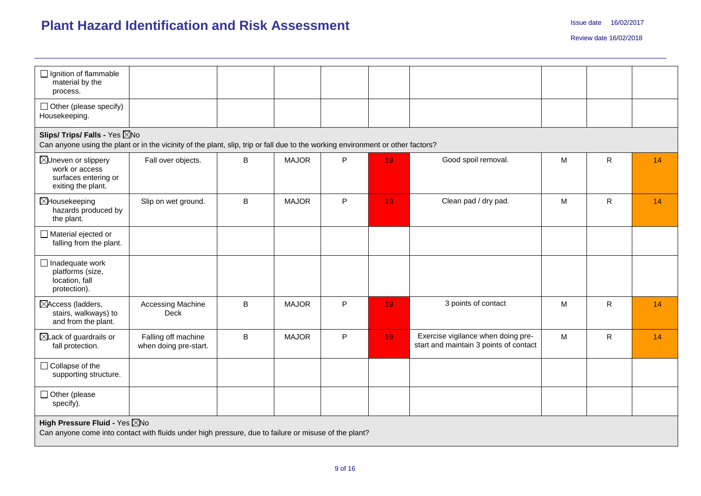| $\Box$ Ignition of flammable<br>material by the<br>process.                                                                                                      |                                              |                |              |   |    |                                                                              |   |              |    |  |  |  |  |
|------------------------------------------------------------------------------------------------------------------------------------------------------------------|----------------------------------------------|----------------|--------------|---|----|------------------------------------------------------------------------------|---|--------------|----|--|--|--|--|
| $\Box$ Other (please specify)<br>Housekeeping.                                                                                                                   |                                              |                |              |   |    |                                                                              |   |              |    |  |  |  |  |
| Slips/ Trips/ Falls - Yes ZNo<br>Can anyone using the plant or in the vicinity of the plant, slip, trip or fall due to the working environment or other factors? |                                              |                |              |   |    |                                                                              |   |              |    |  |  |  |  |
| ⊠Uneven or slippery<br>work or access<br>surfaces entering or<br>exiting the plant.                                                                              | Fall over objects.                           | B              | <b>MAJOR</b> | P | 19 | Good spoil removal.                                                          | M | $\mathsf{R}$ | 14 |  |  |  |  |
| ⊠Housekeeping<br>hazards produced by<br>the plant.                                                                                                               | Slip on wet ground.                          | B              | <b>MAJOR</b> | P | 19 | Clean pad / dry pad.                                                         | M | $\mathsf{R}$ | 14 |  |  |  |  |
| Material ejected or<br>falling from the plant.                                                                                                                   |                                              |                |              |   |    |                                                                              |   |              |    |  |  |  |  |
| $\Box$ Inadequate work<br>platforms (size,<br>location, fall<br>protection).                                                                                     |                                              |                |              |   |    |                                                                              |   |              |    |  |  |  |  |
| ⊠Access (ladders,<br>stairs, walkways) to<br>and from the plant.                                                                                                 | Accessing Machine<br><b>Deck</b>             | $\overline{B}$ | <b>MAJOR</b> | P | 19 | 3 points of contact                                                          | M | $\mathsf{R}$ | 14 |  |  |  |  |
| $\boxtimes$ Lack of guardrails or<br>fall protection.                                                                                                            | Falling off machine<br>when doing pre-start. | B              | <b>MAJOR</b> | P | 19 | Exercise vigilance when doing pre-<br>start and maintain 3 points of contact | M | R            | 14 |  |  |  |  |
| □ Collapse of the<br>supporting structure.                                                                                                                       |                                              |                |              |   |    |                                                                              |   |              |    |  |  |  |  |
| $\Box$ Other (please<br>specify).                                                                                                                                |                                              |                |              |   |    |                                                                              |   |              |    |  |  |  |  |
| High Pressure Fluid - Yes XNo<br>Can anyone come into contact with fluids under high pressure, due to failure or misuse of the plant?                            |                                              |                |              |   |    |                                                                              |   |              |    |  |  |  |  |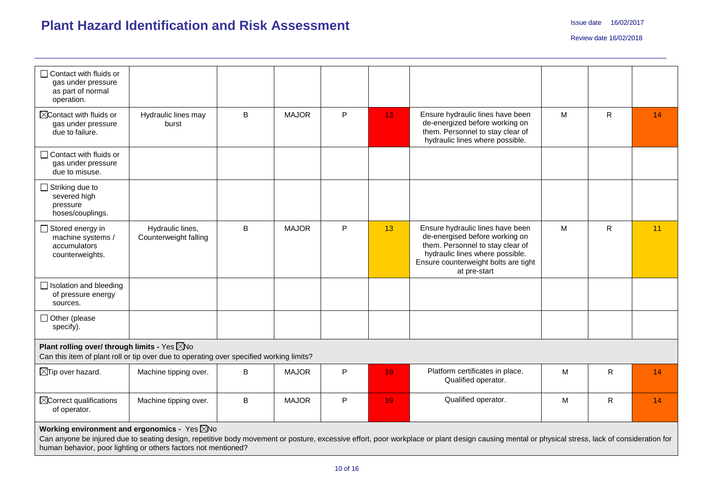| $\Box$ Contact with fluids or<br>gas under pressure<br>as part of normal<br>operation.                                                             |                                           |         |              |   |                 |                                                                                                                                                                                                   |   |              |    |
|----------------------------------------------------------------------------------------------------------------------------------------------------|-------------------------------------------|---------|--------------|---|-----------------|---------------------------------------------------------------------------------------------------------------------------------------------------------------------------------------------------|---|--------------|----|
| $\boxtimes$ Contact with fluids or<br>gas under pressure<br>due to failure.                                                                        | Hydraulic lines may<br>burst              | B       | <b>MAJOR</b> | P | 13 <sub>1</sub> | Ensure hydraulic lines have been<br>de-energized before working on<br>them. Personnel to stay clear of<br>hydraulic lines where possible.                                                         | M | $\mathsf{R}$ | 14 |
| $\Box$ Contact with fluids or<br>gas under pressure<br>due to misuse.                                                                              |                                           |         |              |   |                 |                                                                                                                                                                                                   |   |              |    |
| $\Box$ Striking due to<br>severed high<br>pressure<br>hoses/couplings.                                                                             |                                           |         |              |   |                 |                                                                                                                                                                                                   |   |              |    |
| $\Box$ Stored energy in<br>machine systems /<br>accumulators<br>counterweights.                                                                    | Hydraulic lines,<br>Counterweight falling | B       | <b>MAJOR</b> | P | 13              | Ensure hydraulic lines have been<br>de-energised before working on<br>them. Personnel to stay clear of<br>hydraulic lines where possible.<br>Ensure counterweight bolts are tight<br>at pre-start | M | $\mathsf{R}$ | 11 |
| $\Box$ Isolation and bleeding<br>of pressure energy<br>sources.                                                                                    |                                           |         |              |   |                 |                                                                                                                                                                                                   |   |              |    |
| □ Other (please<br>specify).                                                                                                                       |                                           |         |              |   |                 |                                                                                                                                                                                                   |   |              |    |
| Plant rolling over/ through limits - Yes $\boxtimes$ No<br>Can this item of plant roll or tip over due to operating over specified working limits? |                                           |         |              |   |                 |                                                                                                                                                                                                   |   |              |    |
| $\boxtimes$ Tip over hazard.                                                                                                                       | Machine tipping over.                     | B       | <b>MAJOR</b> | P | 19              | Platform certificates in place.<br>Qualified operator.                                                                                                                                            | M | R            | 14 |
| $\boxtimes$ Correct qualifications<br>of operator.                                                                                                 | Machine tipping over.                     | $\sf B$ | <b>MAJOR</b> | P | 19              | Qualified operator.                                                                                                                                                                               | M | $\mathsf{R}$ | 14 |
| Working environment and ergonomics - Yes $\boxtimes$ No<br>human behavior, poor lighting or others factors not mentioned?                          |                                           |         |              |   |                 | Can anyone be injured due to seating design, repetitive body movement or posture, excessive effort, poor workplace or plant design causing mental or physical stress, lack of consideration for   |   |              |    |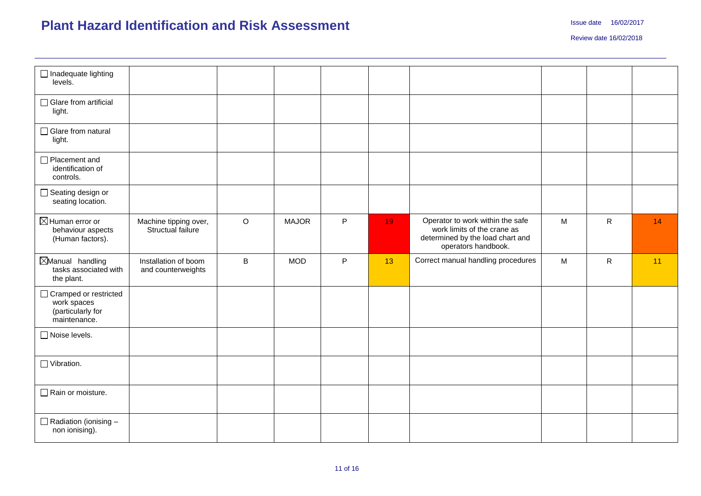| $\Box$ Inadequate lighting<br>levels.                                       |                                            |         |              |           |    |                                                                                                                            |   |              |    |
|-----------------------------------------------------------------------------|--------------------------------------------|---------|--------------|-----------|----|----------------------------------------------------------------------------------------------------------------------------|---|--------------|----|
| □ Glare from artificial<br>light.                                           |                                            |         |              |           |    |                                                                                                                            |   |              |    |
| □ Glare from natural<br>light.                                              |                                            |         |              |           |    |                                                                                                                            |   |              |    |
| Placement and<br>identification of<br>controls.                             |                                            |         |              |           |    |                                                                                                                            |   |              |    |
| □ Seating design or<br>seating location.                                    |                                            |         |              |           |    |                                                                                                                            |   |              |    |
| $\boxtimes$ Human error or<br>behaviour aspects<br>(Human factors).         | Machine tipping over,<br>Structual failure | $\circ$ | <b>MAJOR</b> | P         | 19 | Operator to work within the safe<br>work limits of the crane as<br>determined by the load chart and<br>operators handbook. | M | $\mathsf{R}$ | 14 |
| Manual handling<br>tasks associated with<br>the plant.                      | Installation of boom<br>and counterweights | B       | <b>MOD</b>   | ${\sf P}$ | 13 | Correct manual handling procedures                                                                                         | M | $\mathsf{R}$ | 11 |
| □ Cramped or restricted<br>work spaces<br>(particularly for<br>maintenance. |                                            |         |              |           |    |                                                                                                                            |   |              |    |
| □ Noise levels.                                                             |                                            |         |              |           |    |                                                                                                                            |   |              |    |
|                                                                             |                                            |         |              |           |    |                                                                                                                            |   |              |    |
| $\Box$ Vibration.                                                           |                                            |         |              |           |    |                                                                                                                            |   |              |    |
| Rain or moisture.                                                           |                                            |         |              |           |    |                                                                                                                            |   |              |    |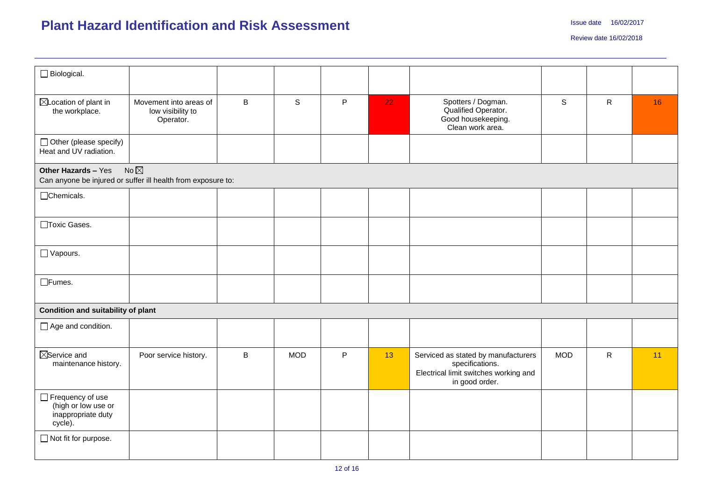| $\Box$ Biological.                                                                  |                                                          |              |             |             |    |                                                                                                                   |             |              |    |
|-------------------------------------------------------------------------------------|----------------------------------------------------------|--------------|-------------|-------------|----|-------------------------------------------------------------------------------------------------------------------|-------------|--------------|----|
| ⊠Location of plant in<br>the workplace.                                             | Movement into areas of<br>low visibility to<br>Operator. | $\mathsf B$  | $\mathsf S$ | $\mathsf P$ | 22 | Spotters / Dogman.<br>Qualified Operator.<br>Good housekeeping.<br>Clean work area.                               | $\mathsf S$ | $\mathsf{R}$ | 16 |
| $\Box$ Other (please specify)<br>Heat and UV radiation.                             |                                                          |              |             |             |    |                                                                                                                   |             |              |    |
| Other Hazards - Yes<br>Can anyone be injured or suffer ill health from exposure to: | No $\not\boxtimes$                                       |              |             |             |    |                                                                                                                   |             |              |    |
| □Chemicals.                                                                         |                                                          |              |             |             |    |                                                                                                                   |             |              |    |
| □Toxic Gases.                                                                       |                                                          |              |             |             |    |                                                                                                                   |             |              |    |
| $\Box$ Vapours.                                                                     |                                                          |              |             |             |    |                                                                                                                   |             |              |    |
| $\Box$ Fumes.                                                                       |                                                          |              |             |             |    |                                                                                                                   |             |              |    |
| Condition and suitability of plant                                                  |                                                          |              |             |             |    |                                                                                                                   |             |              |    |
| $\Box$ Age and condition.                                                           |                                                          |              |             |             |    |                                                                                                                   |             |              |    |
| $\boxtimes$ Service and<br>maintenance history.                                     | Poor service history.                                    | $\, {\sf B}$ | <b>MOD</b>  | P           | 13 | Serviced as stated by manufacturers<br>specifications.<br>Electrical limit switches working and<br>in good order. | <b>MOD</b>  | $\mathsf{R}$ | 11 |
| Frequency of use<br>(high or low use or<br>inappropriate duty<br>cycle).            |                                                          |              |             |             |    |                                                                                                                   |             |              |    |
| □ Not fit for purpose.                                                              |                                                          |              |             |             |    |                                                                                                                   |             |              |    |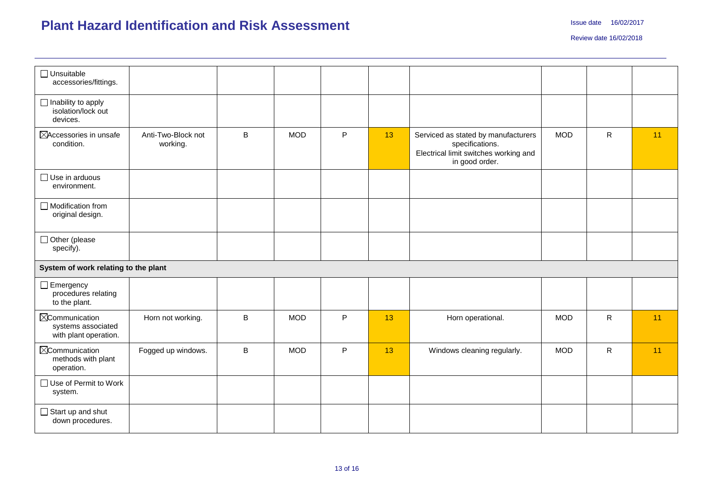| $\Box$ Unsuitable<br>accessories/fittings.                            |                                |   |            |           |    |                                                                                                                   |            |              |    |
|-----------------------------------------------------------------------|--------------------------------|---|------------|-----------|----|-------------------------------------------------------------------------------------------------------------------|------------|--------------|----|
| $\Box$ Inability to apply<br>isolation/lock out<br>devices.           |                                |   |            |           |    |                                                                                                                   |            |              |    |
| ⊠Accessories in unsafe<br>condition.                                  | Anti-Two-Block not<br>working. | B | <b>MOD</b> | ${\sf P}$ | 13 | Serviced as stated by manufacturers<br>specifications.<br>Electrical limit switches working and<br>in good order. | <b>MOD</b> | $\mathsf{R}$ | 11 |
| $\Box$ Use in arduous<br>environment.                                 |                                |   |            |           |    |                                                                                                                   |            |              |    |
| $\Box$ Modification from<br>original design.                          |                                |   |            |           |    |                                                                                                                   |            |              |    |
| Other (please<br>specify).                                            |                                |   |            |           |    |                                                                                                                   |            |              |    |
| System of work relating to the plant                                  |                                |   |            |           |    |                                                                                                                   |            |              |    |
| $\Box$ Emergency<br>procedures relating<br>to the plant.              |                                |   |            |           |    |                                                                                                                   |            |              |    |
| <b>X</b> Communication<br>systems associated<br>with plant operation. | Horn not working.              | B | <b>MOD</b> | P         | 13 | Horn operational.                                                                                                 | <b>MOD</b> | $\mathsf{R}$ | 11 |
| <b>X</b> Communication<br>methods with plant<br>operation.            | Fogged up windows.             | B | <b>MOD</b> | P         | 13 | Windows cleaning regularly.                                                                                       | <b>MOD</b> | $\mathsf{R}$ | 11 |
| $\Box$ Use of Permit to Work<br>system.                               |                                |   |            |           |    |                                                                                                                   |            |              |    |
| $\Box$ Start up and shut<br>down procedures.                          |                                |   |            |           |    |                                                                                                                   |            |              |    |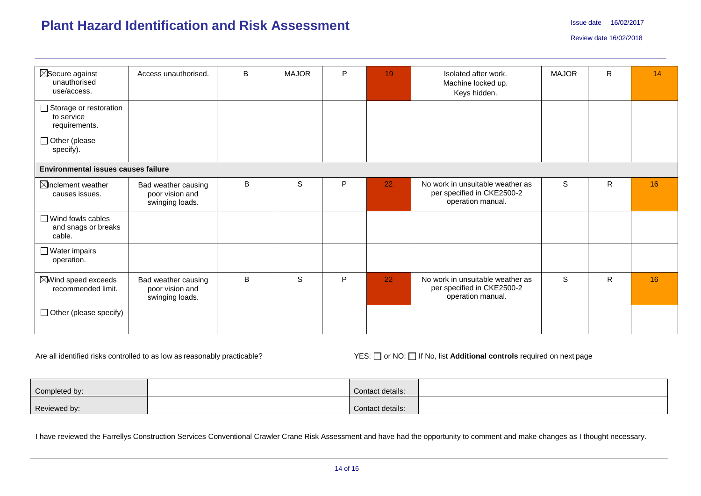| $\boxtimes$ Secure against<br>unauthorised<br>use/access. | Access unauthorised.                                      | B | <b>MAJOR</b> | P | 19 | Isolated after work.<br>Machine locked up.<br>Keys hidden.                          | <b>MAJOR</b> | R | 14 |
|-----------------------------------------------------------|-----------------------------------------------------------|---|--------------|---|----|-------------------------------------------------------------------------------------|--------------|---|----|
| □ Storage or restoration<br>to service<br>requirements.   |                                                           |   |              |   |    |                                                                                     |              |   |    |
| $\Box$ Other (please<br>specify).                         |                                                           |   |              |   |    |                                                                                     |              |   |    |
| <b>Environmental issues causes failure</b>                |                                                           |   |              |   |    |                                                                                     |              |   |    |
| $\boxtimes$ Inclement weather<br>causes issues.           | Bad weather causing<br>poor vision and<br>swinging loads. | B | $\mathbf S$  | P | 22 | No work in unsuitable weather as<br>per specified in CKE2500-2<br>operation manual. | S            | R | 16 |
| $\Box$ Wind fowls cables<br>and snags or breaks<br>cable. |                                                           |   |              |   |    |                                                                                     |              |   |    |
| $\Box$ Water impairs<br>operation.                        |                                                           |   |              |   |    |                                                                                     |              |   |    |
| $\boxtimes$ Wind speed exceeds<br>recommended limit.      | Bad weather causing<br>poor vision and<br>swinging loads. | B | S            | P | 22 | No work in unsuitable weather as<br>per specified in CKE2500-2<br>operation manual. | S            | R | 16 |
| $\Box$ Other (please specify)                             |                                                           |   |              |   |    |                                                                                     |              |   |    |

Are all identified risks controlled to as low as reasonably practicable? YES: Or NO: If No, list **Additional controls** required on next page

| Completed by: | Contact details: |  |
|---------------|------------------|--|
| Reviewed by:  | Contact details: |  |

I have reviewed the Farrellys Construction Services Conventional Crawler Crane Risk Assessment and have had the opportunity to comment and make changes as I thought necessary.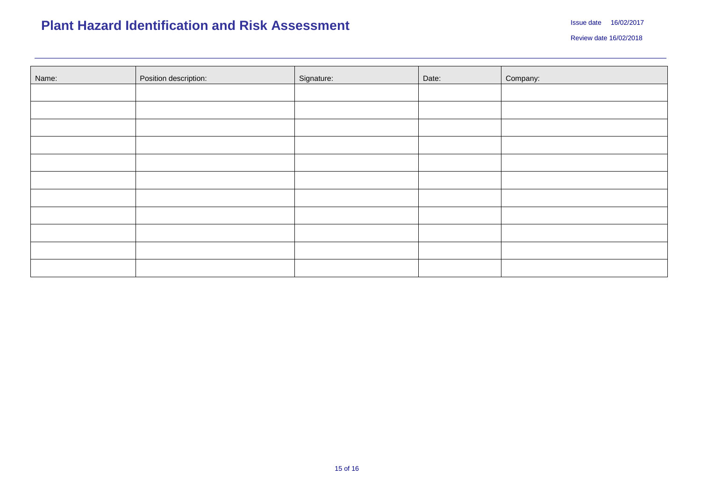| Name: | Position description: | Signature: | Date: | Company: |
|-------|-----------------------|------------|-------|----------|
|       |                       |            |       |          |
|       |                       |            |       |          |
|       |                       |            |       |          |
|       |                       |            |       |          |
|       |                       |            |       |          |
|       |                       |            |       |          |
|       |                       |            |       |          |
|       |                       |            |       |          |
|       |                       |            |       |          |
|       |                       |            |       |          |
|       |                       |            |       |          |